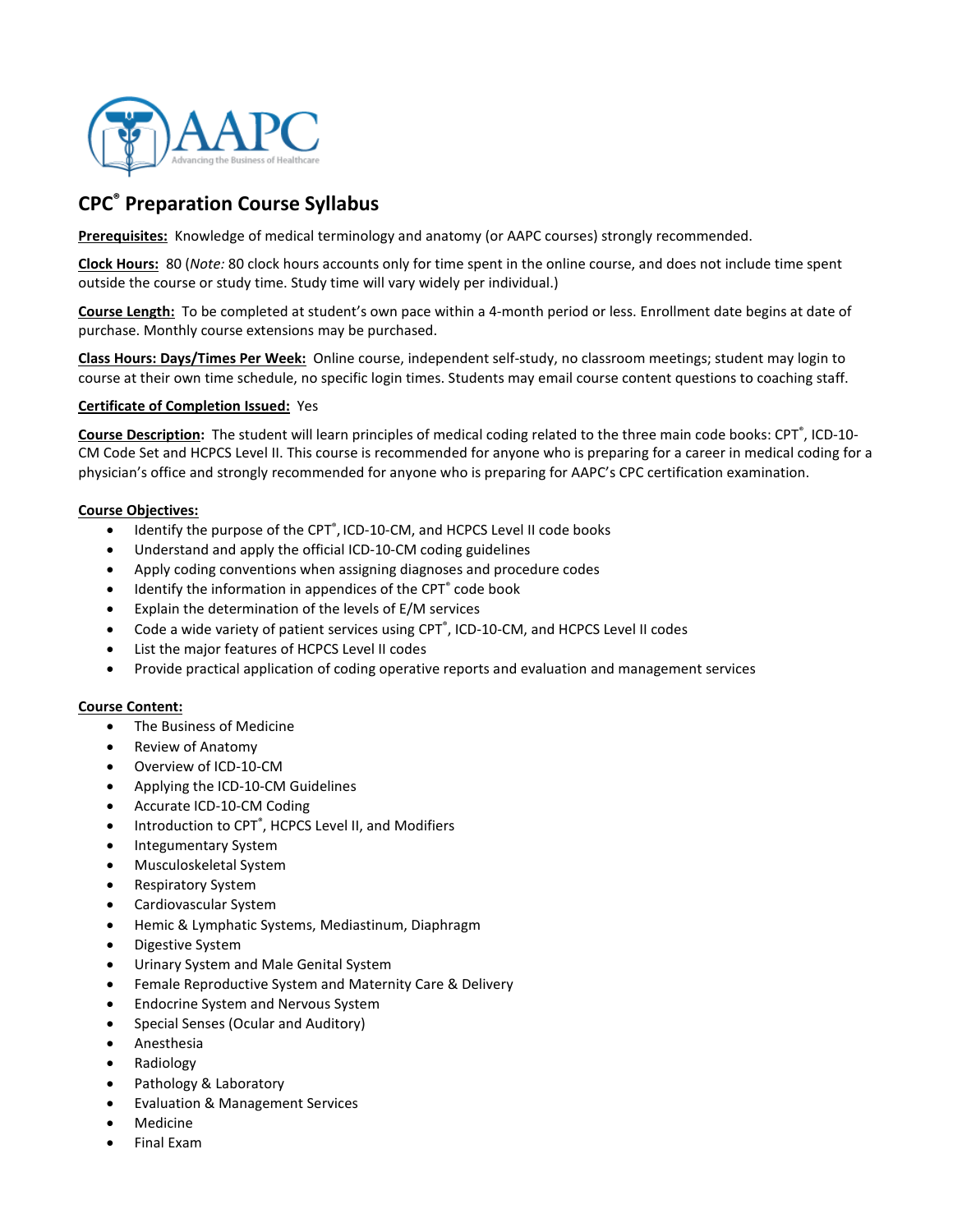

# CPC® Preparation Course Syllabus

Prerequisites: Knowledge of medical terminology and anatomy (or AAPC courses) strongly recommended.

Clock Hours: 80 (Note: 80 clock hours accounts only for time spent in the online course, and does not include time spent outside the course or study time. Study time will vary widely per individual.)

Course Length: To be completed at student's own pace within a 4-month period or less. Enrollment date begins at date of purchase. Monthly course extensions may be purchased.

Class Hours: Days/Times Per Week: Online course, independent self-study, no classroom meetings; student may login to course at their own time schedule, no specific login times. Students may email course content questions to coaching staff.

### Certificate of Completion Issued: Yes

Course Description: The student will learn principles of medical coding related to the three main code books: CPT<sup>®</sup>, ICD-10-CM Code Set and HCPCS Level II. This course is recommended for anyone who is preparing for a career in medical coding for a physician's office and strongly recommended for anyone who is preparing for AAPC's CPC certification examination.

### Course Objectives:

- Identify the purpose of the CPT<sup>®</sup>, ICD-10-CM, and HCPCS Level II code books
- Understand and apply the official ICD-10-CM coding guidelines
- Apply coding conventions when assigning diagnoses and procedure codes
- Identify the information in appendices of the CPT<sup>®</sup> code book
- Explain the determination of the levels of E/M services
- Code a wide variety of patient services using CPT<sup>®</sup>, ICD-10-CM, and HCPCS Level II codes
- List the major features of HCPCS Level II codes
- Provide practical application of coding operative reports and evaluation and management services

#### Course Content:

- The Business of Medicine
- Review of Anatomy
- Overview of ICD-10-CM
- Applying the ICD-10-CM Guidelines
- Accurate ICD-10-CM Coding
- Introduction to CPT<sup>®</sup>, HCPCS Level II, and Modifiers
- Integumentary System
- Musculoskeletal System
- Respiratory System
- Cardiovascular System
- Hemic & Lymphatic Systems, Mediastinum, Diaphragm
- Digestive System
- Urinary System and Male Genital System
- Female Reproductive System and Maternity Care & Delivery
- Endocrine System and Nervous System
- Special Senses (Ocular and Auditory)
- Anesthesia
- Radiology
- Pathology & Laboratory
- Evaluation & Management Services
- **Medicine**
- Final Exam